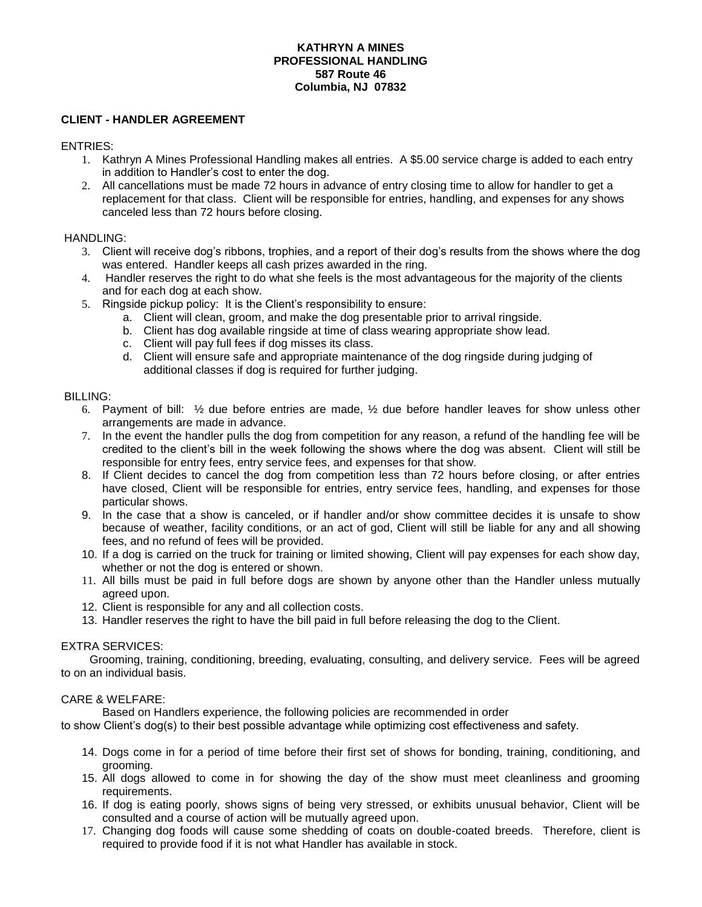## **KATHRYN A MINES PROFESSIONAL HANDLING 587 Route 46 Columbia, NJ 07832**

# **CLIENT - HANDLER AGREEMENT**

ENTRIES:

- 1. Kathryn A Mines Professional Handling makes all entries. A \$5.00 service charge is added to each entry in addition to Handler's cost to enter the dog.
- 2. All cancellations must be made 72 hours in advance of entry closing time to allow for handler to get a replacement for that class. Client will be responsible for entries, handling, and expenses for any shows canceled less than 72 hours before closing.

## HANDLING:

- 3. Client will receive dog's ribbons, trophies, and a report of their dog's results from the shows where the dog was entered. Handler keeps all cash prizes awarded in the ring.
- 4. Handler reserves the right to do what she feels is the most advantageous for the majority of the clients and for each dog at each show.
- 5. Ringside pickup policy: It is the Client's responsibility to ensure:
	- a. Client will clean, groom, and make the dog presentable prior to arrival ringside.
	- b. Client has dog available ringside at time of class wearing appropriate show lead.
	- c. Client will pay full fees if dog misses its class.
	- d. Client will ensure safe and appropriate maintenance of the dog ringside during judging of additional classes if dog is required for further judging.

#### BILLING:

- 6. Payment of bill: ½ due before entries are made, ½ due before handler leaves for show unless other arrangements are made in advance.
- 7. In the event the handler pulls the dog from competition for any reason, a refund of the handling fee will be credited to the client's bill in the week following the shows where the dog was absent. Client will still be responsible for entry fees, entry service fees, and expenses for that show.
- 8. If Client decides to cancel the dog from competition less than 72 hours before closing, or after entries have closed, Client will be responsible for entries, entry service fees, handling, and expenses for those particular shows.
- 9. In the case that a show is canceled, or if handler and/or show committee decides it is unsafe to show because of weather, facility conditions, or an act of god, Client will still be liable for any and all showing fees, and no refund of fees will be provided.
- 10. If a dog is carried on the truck for training or limited showing, Client will pay expenses for each show day, whether or not the dog is entered or shown.
- 11. All bills must be paid in full before dogs are shown by anyone other than the Handler unless mutually agreed upon.
- 12. Client is responsible for any and all collection costs.
- 13. Handler reserves the right to have the bill paid in full before releasing the dog to the Client.

## EXTRA SERVICES:

 Grooming, training, conditioning, breeding, evaluating, consulting, and delivery service. Fees will be agreed to on an individual basis.

## CARE & WELFARE:

Based on Handlers experience, the following policies are recommended in order

to show Client's dog(s) to their best possible advantage while optimizing cost effectiveness and safety.

- 14. Dogs come in for a period of time before their first set of shows for bonding, training, conditioning, and grooming.
- 15. All dogs allowed to come in for showing the day of the show must meet cleanliness and grooming requirements.
- 16. If dog is eating poorly, shows signs of being very stressed, or exhibits unusual behavior, Client will be consulted and a course of action will be mutually agreed upon.
- 17. Changing dog foods will cause some shedding of coats on double-coated breeds. Therefore, client is required to provide food if it is not what Handler has available in stock.